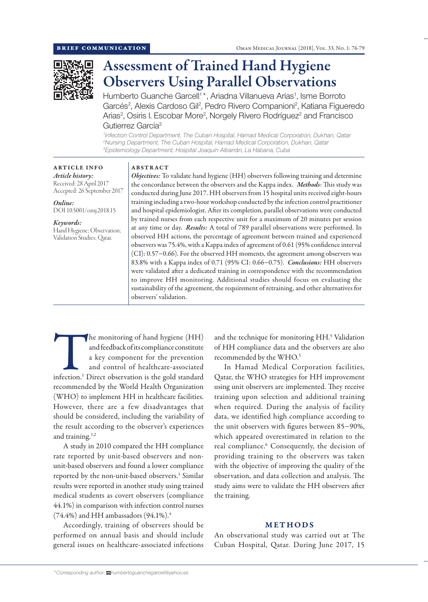

# Assessment of Trained Hand Hygiene Observers Using Parallel Observations

Humberto Guanche Garcell<sup>1\*</sup>, Ariadna Villanueva Arias<sup>1</sup>, Isme Borroto Garcés<sup>2</sup>, Alexis Cardoso Gil<sup>2</sup>, Pedro Rivero Companioni<sup>2</sup>, Katiana Figueredo Arias<sup>2</sup>, Osiris I. Escobar More<sup>2</sup>, Norgely Rivero Rodríguez<sup>2</sup> and Francisco Gutierrez García<sup>3</sup>

*1 Infection Control Department, The Cuban Hospital, Hamad Medical Corporation, Dukhan, Qatar 2 Nursing Department, The Cuban Hospital, Hamad Medical Corporation, Dukhan, Qatar 3 Epidemiology Department, Hospital Joaquín Albarrán, La Habana, Cuba*

# ARTICLE INFO

*Article history:* Received: 28 April 2017 Accepted: 26 September 2017

*Online:* DOI 10.5001/omj.2018.15

*Keywords:*  Hand Hygiene; Observation; Validation Studies; Qatar.

#### ABSTRACT

*Objectives:* To validate hand hygiene (HH) observers following training and determine the concordance between the observers and the Kappa index. *Methods*: This study was conducted during June 2017. HH observers from 15 hospital units received eight-hours training including a two-hour workshop conducted by the infection control practitioner and hospital epidemiologist. After its completion, parallel observations were conducted by trained nurses from each respective unit for a maximum of 20 minutes per session at any time or day. *Results:* A total of 789 parallel observations were performed. In observed HH actions, the percentage of agreement between trained and experienced observers was 75.4%, with a Kappa index of agreement of 0.61 (95% confidence interval (CI): 0.57−0.66). For the observed HH moments, the agreement among observers was 83.8% with a Kappa index of 0.71 (95% CI: 0.66−0.75). *Conclusions:* HH observers were validated after a dedicated training in correspondence with the recommendation to improve HH monitoring. Additional studies should focus on evaluating the sustainability of the agreement, the requirement of retraining, and other alternatives for observers' validation.

The monitoring of hand hygiene (HH) and feedback of its compliance constitute a key component for the prevention and control of healthcare-associated infection.<sup>1</sup> Direct observation is the gold standard and feedback of its compliance constitute a key component for the prevention and control of healthcare-associated recommended by the World Health Organization (WHO) to implement HH in healthcare facilities. However, there are a few disadvantages that should be considered, including the variability of the result according to the observer's experiences and training.<sup>1,2</sup>

A study in 2010 compared the HH compliance rate reported by unit-based observers and nonunit-based observers and found a lower compliance reported by the non-unit-based observers.<sup>3</sup> Similar results were reported in another study using trained medical students as covert observers (compliance 44.1%) in comparison with infection control nurses  $(74.4\%)$  and HH ambassadors  $(94.1\%)$ <sup>4</sup>

Accordingly, training of observers should be performed on annual basis and should include general issues on healthcare-associated infections and the technique for monitoring HH.5 Validation of HH compliance data and the observers are also recommended by the WHO.5

In Hamad Medical Corporation facilities, Qatar, the WHO strategies for HH improvement using unit observers are implemented. They receive training upon selection and additional training when required. During the analysis of facility data, we identified high compliance according to the unit observers with figures between 85−90%, which appeared overestimated in relation to the real compliance.<sup>6</sup> Consequently, the decision of providing training to the observers was taken with the objective of improving the quality of the observation, and data collection and analysis. The study aims were to validate the HH observers after the training.

# METHODS

An observational study was carried out at The Cuban Hospital, Qatar. During June 2017, 15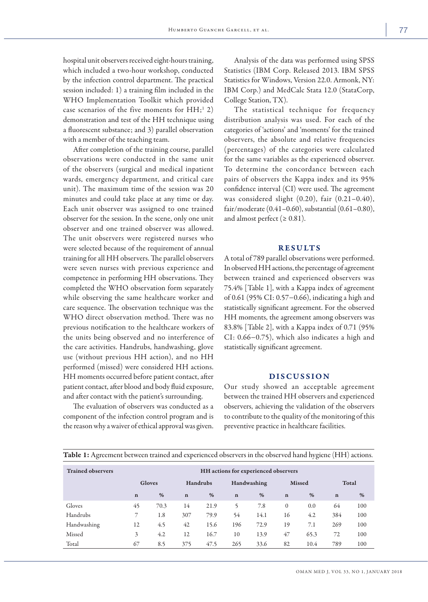hospital unit observers received eight-hours training, which included a two-hour workshop, conducted by the infection control department. The practical session included: 1) a training film included in the WHO Implementation Toolkit which provided case scenarios of the five moments for  $HH;^{1}$  2) demonstration and test of the HH technique using a fluorescent substance; and 3) parallel observation with a member of the teaching team.

After completion of the training course, parallel observations were conducted in the same unit of the observers (surgical and medical inpatient wards, emergency department, and critical care unit). The maximum time of the session was 20 minutes and could take place at any time or day. Each unit observer was assigned to one trained observer for the session. In the scene, only one unit observer and one trained observer was allowed. The unit observers were registered nurses who were selected because of the requirement of annual training for all HH observers. The parallel observers were seven nurses with previous experience and competence in performing HH observations. They completed the WHO observation form separately while observing the same healthcare worker and care sequence. The observation technique was the WHO direct observation method. There was no previous notification to the healthcare workers of the units being observed and no interference of the care activities. Handrubs, handwashing, glove use (without previous HH action), and no HH performed (missed) were considered HH actions. HH moments occurred before patient contact, after patient contact, after blood and body fluid exposure, and after contact with the patient's surrounding.

The evaluation of observers was conducted as a component of the infection control program and is the reason why a waiver of ethical approval was given.

Analysis of the data was performed using SPSS Statistics (IBM Corp. Released 2013. IBM SPSS Statistics for Windows, Version 22.0. Armonk, NY: IBM Corp.) and MedCalc Stata 12.0 (StataCorp, College Station, TX).

The statistical technique for frequency distribution analysis was used. For each of the categories of 'actions' and 'moments' for the trained observers, the absolute and relative frequencies (percentages) of the categories were calculated for the same variables as the experienced observer. To determine the concordance between each pairs of observers the Kappa index and its 95% confidence interval (CI) were used. The agreement was considered slight (0.20), fair (0.21–0.40), fair/moderate (0.41–0.60), substantial (0.61–0.80), and almost perfect ( $\geq 0.81$ ).

### RESULTS

A total of 789 parallel observations were performed. In observed HH actions, the percentage of agreement between trained and experienced observers was 75.4% [Table 1], with a Kappa index of agreement of 0.61 (95% CI: 0.57−0.66), indicating a high and statistically significant agreement. For the observed HH moments, the agreement among observers was 83.8% [Table 2], with a Kappa index of 0.71 (95% CI: 0.66−0.75), which also indicates a high and statistically significant agreement.

# DISCUSSION

Our study showed an acceptable agreement between the trained HH observers and experienced observers, achieving the validation of the observers to contribute to the quality of the monitoring of this preventive practice in healthcare facilities.

| <b>Table 1:</b> Agreement between trained and experienced observers in the observed hand hygiene (HH) actions. |                                      |      |             |      |             |      |               |      |             |     |
|----------------------------------------------------------------------------------------------------------------|--------------------------------------|------|-------------|------|-------------|------|---------------|------|-------------|-----|
| <b>Trained observers</b>                                                                                       | HH actions for experienced observers |      |             |      |             |      |               |      |             |     |
|                                                                                                                | <b>Gloves</b>                        |      | Handrubs    |      | Handwashing |      | <b>Missed</b> |      | Total       |     |
|                                                                                                                | $\mathbf n$                          | $\%$ | $\mathbf n$ | $\%$ | $\mathbf n$ | $\%$ | $\mathbf n$   | $\%$ | $\mathbf n$ | %   |
| Gloves                                                                                                         | 45                                   | 70.3 | 14          | 21.9 | 5           | 7.8  | $\Omega$      | 0.0  | 64          | 100 |
| Handrubs                                                                                                       |                                      | 1.8  | 307         | 79.9 | 54          | 14.1 | 16            | 4.2  | 384         | 100 |
| Handwashing                                                                                                    | 12                                   | 4.5  | 42          | 15.6 | 196         | 72.9 | 19            | 7.1  | 269         | 100 |
| Missed                                                                                                         | 3                                    | 4.2  | 12          | 16.7 | 10          | 13.9 | 47            | 65.3 | 72          | 100 |
| Total                                                                                                          | 67                                   | 8.5  | 375         | 47.5 | 265         | 33.6 | 82            | 10.4 | 789         | 100 |

| Table 1: Agreement between trained and experienced observers in the observed hand hygiene (HH) actions. |  |  |
|---------------------------------------------------------------------------------------------------------|--|--|
|                                                                                                         |  |  |
|                                                                                                         |  |  |
|                                                                                                         |  |  |
|                                                                                                         |  |  |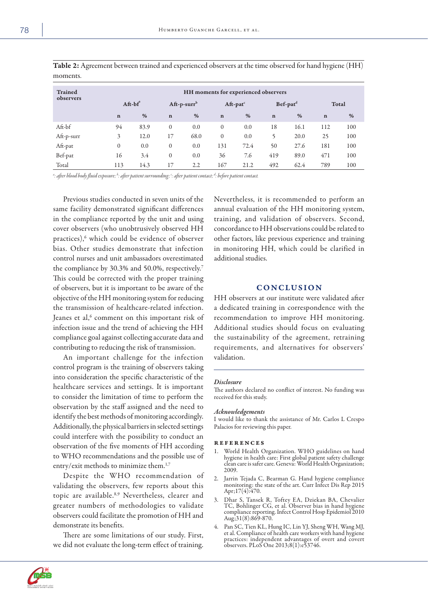| <b>Trained</b><br>observers | HH moments for experienced observers |      |                   |      |                         |      |                      |      |             |     |
|-----------------------------|--------------------------------------|------|-------------------|------|-------------------------|------|----------------------|------|-------------|-----|
|                             | $Af-t$                               |      | $Aff$ -p-surr $b$ |      | $Aff$ -pat <sup>c</sup> |      | Bef-pat <sup>d</sup> |      | Total       |     |
|                             | $\mathbf n$                          | $\%$ | $\mathbf n$       | %    | $\mathbf n$             | %    | $\mathbf n$          | %    | $\mathbf n$ | %   |
| Aft-bf                      | 94                                   | 83.9 | $\mathbf{0}$      | 0.0  | $\Omega$                | 0.0  | 18                   | 16.1 | 112         | 100 |
| Aft-p-surr                  | 3                                    | 12.0 | 17                | 68.0 | $\Omega$                | 0.0  | 5                    | 20.0 | 25          | 100 |
| Aft-pat                     | $\Omega$                             | 0.0  | $\mathbf{0}$      | 0.0  | 131                     | 72.4 | 50                   | 27.6 | 181         | 100 |
| Bef-pat                     | 16                                   | 3.4  | $\mathbf{0}$      | 0.0  | 36                      | 7.6  | 419                  | 89.0 | 471         | 100 |
| Total                       | 113                                  | 14.3 | 17                | 2.2  | 167                     | 21.2 | 492                  | 62.4 | 789         | 100 |

Table 2: Agreement between trained and experienced observers at the time observed for hand hygiene (HH) moments.

dictive after blood body fluid exposure; <sup>b</sup>: after patient surrounding; <sup>e</sup>: after patient contact; <sup>d</sup>: before patient contact.

Previous studies conducted in seven units of the same facility demonstrated significant differences in the compliance reported by the unit and using cover observers (who unobtrusively observed HH practices),<sup>6</sup> which could be evidence of observer bias. Other studies demonstrate that infection control nurses and unit ambassadors overestimated the compliance by 30.3% and 50.0%, respectively.<sup>7</sup> This could be corrected with the proper training of observers, but it is important to be aware of the objective of the HH monitoring system for reducing the transmission of healthcare-related infection. Jeanes et al, $^6$  comment on this important risk of infection issue and the trend of achieving the HH compliance goal against collecting accurate data and contributing to reducing the risk of transmission.

An important challenge for the infection control program is the training of observers taking into consideration the specific characteristic of the healthcare services and settings. It is important to consider the limitation of time to perform the observation by the staff assigned and the need to identify the best methods of monitoring accordingly. Additionally, the physical barriers in selected settings could interfere with the possibility to conduct an observation of the five moments of HH according to WHO recommendations and the possible use of entry/exit methods to minimize them.<sup>1,7</sup>

Despite the WHO recommendation of validating the observers, few reports about this topic are available.<sup>8,9</sup> Nevertheless, clearer and greater numbers of methodologies to validate observers could facilitate the promotion of HH and demonstrate its benefits.

There are some limitations of our study. First, we did not evaluate the long-term effect of training.

Nevertheless, it is recommended to perform an annual evaluation of the HH monitoring system, training, and validation of observers. Second, concordance to HH observations could be related to other factors, like previous experience and training in monitoring HH, which could be clarified in additional studies.

# **CONCLUSION**

HH observers at our institute were validated after a dedicated training in correspondence with the recommendation to improve HH monitoring. Additional studies should focus on evaluating the sustainability of the agreement, retraining requirements, and alternatives for observers' validation.

#### *Disclosure*

The authors declared no conflict of interest. No funding was received for this study.

#### *Acknowledgements*

I would like to thank the assistance of Mr. Carlos L Crespo Palacios for reviewing this paper.

#### references

- World Health Organization. WHO guidelines on hand hygiene in health care: First global patient safety challenge clean care is safer care. Geneva: World Health Organization; 2009.
- 2. Jarrin Tejada C, Bearman G. Hand hygiene compliance monitoring: the state of the art. Curr Infect Dis Rep 2015 Apr;17(4):470.
- 3. Dhar S, Tansek R, Toftey EA, Dziekan BA, Chevalier TC, Bohlinger CG, et al. Observer bias in hand hygiene compliance reporting. Infect Control Hosp Epidemiol 2010 Aug;31(8):869-870.
- 4. Pan SC, Tien KL, Hung IC, Lin YJ, Sheng WH, Wang MJ, et al. Compliance of health care workers with hand hygiene practices: independent advantages of overt and covert observers. PLoS One 2013;8(1):e53746.